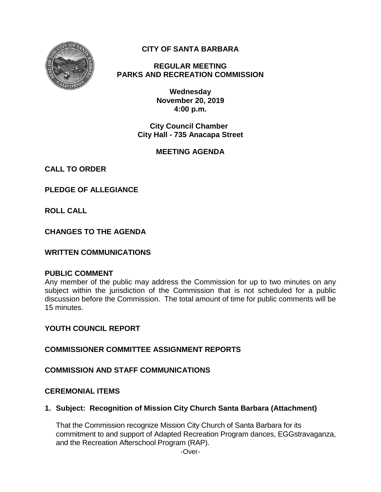

# **CITY OF SANTA BARBARA**

**REGULAR MEETING PARKS AND RECREATION COMMISSION**

> **Wednesday November 20, 2019 4:00 p.m.**

**City Council Chamber City Hall - 735 Anacapa Street**

# **MEETING AGENDA**

**CALL TO ORDER**

**PLEDGE OF ALLEGIANCE**

**ROLL CALL**

**CHANGES TO THE AGENDA**

# **WRITTEN COMMUNICATIONS**

#### **PUBLIC COMMENT**

Any member of the public may address the Commission for up to two minutes on any subject within the jurisdiction of the Commission that is not scheduled for a public discussion before the Commission. The total amount of time for public comments will be 15 minutes.

# **YOUTH COUNCIL REPORT**

**COMMISSIONER COMMITTEE ASSIGNMENT REPORTS**

# **COMMISSION AND STAFF COMMUNICATIONS**

#### **CEREMONIAL ITEMS**

**1. Subject: Recognition of Mission City Church Santa Barbara (Attachment)**

That the Commission recognize Mission City Church of Santa Barbara for its commitment to and support of Adapted Recreation Program dances, EGGstravaganza, and the Recreation Afterschool Program (RAP).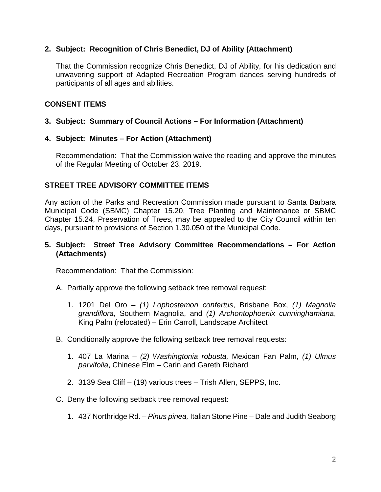### **2. Subject: Recognition of Chris Benedict, DJ of Ability (Attachment)**

That the Commission recognize Chris Benedict, DJ of Ability, for his dedication and unwavering support of Adapted Recreation Program dances serving hundreds of participants of all ages and abilities.

### **CONSENT ITEMS**

### **3. Subject: Summary of Council Actions – For Information (Attachment)**

#### **4. Subject: Minutes – For Action (Attachment)**

Recommendation: That the Commission waive the reading and approve the minutes of the Regular Meeting of October 23, 2019.

#### **STREET TREE ADVISORY COMMITTEE ITEMS**

Any action of the Parks and Recreation Commission made pursuant to Santa Barbara Municipal Code (SBMC) Chapter 15.20, Tree Planting and Maintenance or SBMC Chapter 15.24, Preservation of Trees, may be appealed to the City Council within ten days, pursuant to provisions of Section 1.30.050 of the Municipal Code.

#### **5. Subject: Street Tree Advisory Committee Recommendations – For Action (Attachments)**

Recommendation: That the Commission:

- A. Partially approve the following setback tree removal request:
	- 1. 1201 Del Oro *(1) Lophostemon confertus*, Brisbane Box, *(1) Magnolia grandiflora*, Southern Magnolia, and *(1) Archontophoenix cunninghamiana*, King Palm (relocated) – Erin Carroll, Landscape Architect
- B. Conditionally approve the following setback tree removal requests:
	- 1. 407 La Marina *(2) Washingtonia robusta,* Mexican Fan Palm, *(1) Ulmus parvifolia*, Chinese Elm *–* Carin and Gareth Richard
	- 2. 3139 Sea Cliff (19) various trees Trish Allen, SEPPS, Inc.
- C. Deny the following setback tree removal request:
	- 1. 437 Northridge Rd. *Pinus pinea,* Italian Stone Pine Dale and Judith Seaborg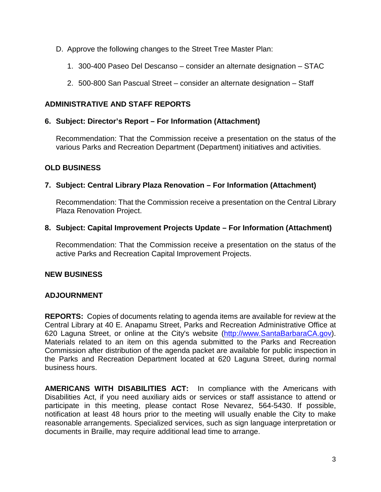- D. Approve the following changes to the Street Tree Master Plan:
	- 1. 300-400 Paseo Del Descanso consider an alternate designation STAC
	- 2. 500-800 San Pascual Street consider an alternate designation Staff

### **ADMINISTRATIVE AND STAFF REPORTS**

#### **6. Subject: Director's Report – For Information (Attachment)**

Recommendation: That the Commission receive a presentation on the status of the various Parks and Recreation Department (Department) initiatives and activities.

#### **OLD BUSINESS**

#### **7. Subject: Central Library Plaza Renovation – For Information (Attachment)**

Recommendation: That the Commission receive a presentation on the Central Library Plaza Renovation Project.

#### **8. Subject: Capital Improvement Projects Update – For Information (Attachment)**

Recommendation: That the Commission receive a presentation on the status of the active Parks and Recreation Capital Improvement Projects.

#### **NEW BUSINESS**

#### **ADJOURNMENT**

**REPORTS:** Copies of documents relating to agenda items are available for review at the Central Library at 40 E. Anapamu Street, Parks and Recreation Administrative Office at 620 Laguna Street, or online at the City's website [\(http://www.SantaBarbaraCA.gov\)](http://www.santabarbaraca.gov/). Materials related to an item on this agenda submitted to the Parks and Recreation Commission after distribution of the agenda packet are available for public inspection in the Parks and Recreation Department located at 620 Laguna Street, during normal business hours.

**AMERICANS WITH DISABILITIES ACT:** In compliance with the Americans with Disabilities Act, if you need auxiliary aids or services or staff assistance to attend or participate in this meeting, please contact Rose Nevarez, 564-5430. If possible, notification at least 48 hours prior to the meeting will usually enable the City to make reasonable arrangements. Specialized services, such as sign language interpretation or documents in Braille, may require additional lead time to arrange.